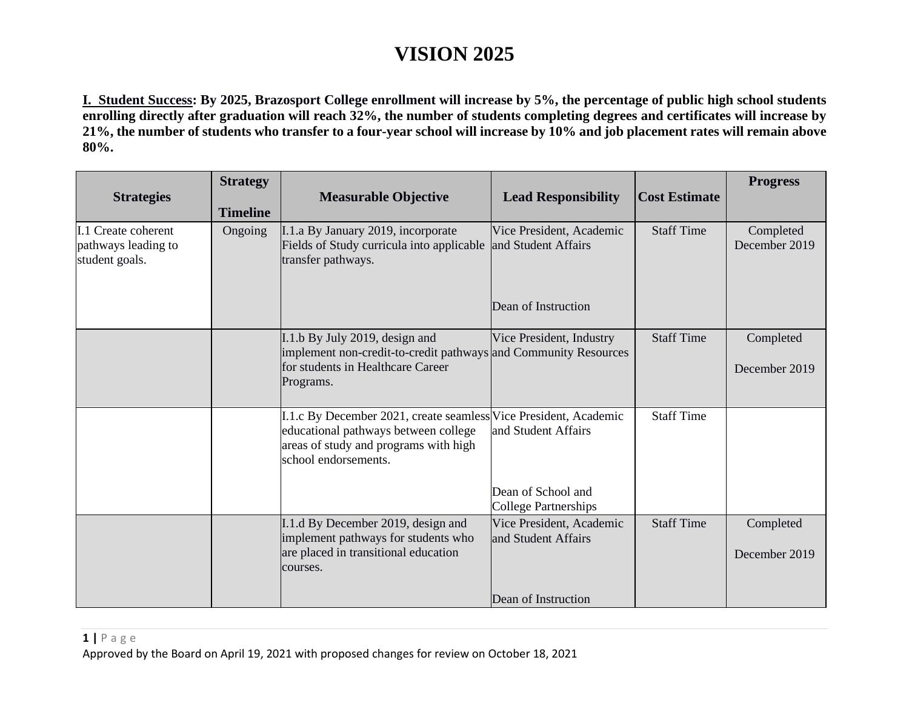**I. Student Success: By 2025, Brazosport College enrollment will increase by 5%, the percentage of public high school students enrolling directly after graduation will reach 32%, the number of students completing degrees and certificates will increase by 21%, the number of students who transfer to a four-year school will increase by 10% and job placement rates will remain above 80%.**

| <b>Strategies</b>                                            | <b>Strategy</b><br><b>Timeline</b> | <b>Measurable Objective</b>                                                                                                                                               | <b>Lead Responsibility</b>                        | <b>Cost Estimate</b> | <b>Progress</b>            |
|--------------------------------------------------------------|------------------------------------|---------------------------------------------------------------------------------------------------------------------------------------------------------------------------|---------------------------------------------------|----------------------|----------------------------|
| I.1 Create coherent<br>pathways leading to<br>student goals. | Ongoing                            | I.1.a By January 2019, incorporate<br>Fields of Study curricula into applicable<br>transfer pathways.                                                                     | Vice President, Academic<br>and Student Affairs   | <b>Staff Time</b>    | Completed<br>December 2019 |
|                                                              |                                    |                                                                                                                                                                           | Dean of Instruction                               |                      |                            |
|                                                              |                                    | I.1.b By July 2019, design and<br>implement non-credit-to-credit pathways and Community Resources<br>for students in Healthcare Career<br>Programs.                       | Vice President, Industry                          | <b>Staff Time</b>    | Completed<br>December 2019 |
|                                                              |                                    |                                                                                                                                                                           |                                                   |                      |                            |
|                                                              |                                    | I.1.c By December 2021, create seamless Vice President, Academic<br>educational pathways between college<br>areas of study and programs with high<br>school endorsements. | and Student Affairs                               | <b>Staff Time</b>    |                            |
|                                                              |                                    |                                                                                                                                                                           | Dean of School and<br><b>College Partnerships</b> |                      |                            |
|                                                              |                                    | I.1.d By December 2019, design and<br>implement pathways for students who<br>are placed in transitional education<br>courses.                                             | Vice President, Academic<br>and Student Affairs   | <b>Staff Time</b>    | Completed<br>December 2019 |
|                                                              |                                    |                                                                                                                                                                           | Dean of Instruction                               |                      |                            |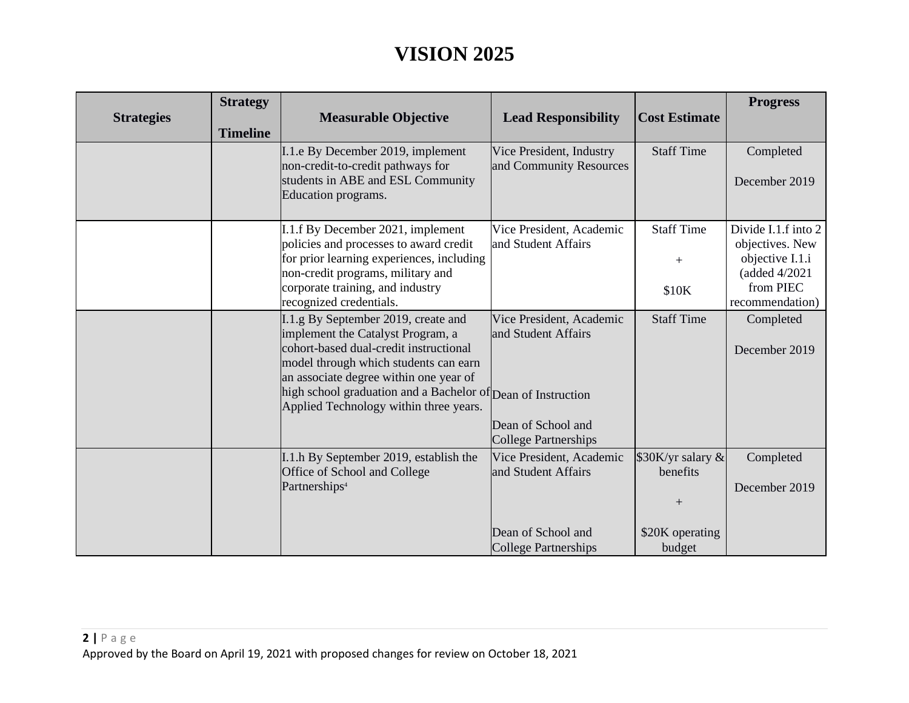| <b>Strategies</b> | <b>Strategy</b><br><b>Timeline</b> | <b>Measurable Objective</b>                                                                                                                                                                                                                                                                                     | <b>Lead Responsibility</b>                                                                           | <b>Cost Estimate</b>                                              | <b>Progress</b>                                                                                            |
|-------------------|------------------------------------|-----------------------------------------------------------------------------------------------------------------------------------------------------------------------------------------------------------------------------------------------------------------------------------------------------------------|------------------------------------------------------------------------------------------------------|-------------------------------------------------------------------|------------------------------------------------------------------------------------------------------------|
|                   |                                    | I.1. e By December 2019, implement<br>non-credit-to-credit pathways for<br>students in ABE and ESL Community<br>Education programs.                                                                                                                                                                             | Vice President, Industry<br>and Community Resources                                                  | <b>Staff Time</b>                                                 | Completed<br>December 2019                                                                                 |
|                   |                                    | I.1.f By December 2021, implement<br>policies and processes to award credit<br>for prior learning experiences, including<br>non-credit programs, military and<br>corporate training, and industry<br>recognized credentials.                                                                                    | Vice President, Academic<br>and Student Affairs                                                      | <b>Staff Time</b><br>$+$<br>\$10K                                 | Divide I.1.f into 2<br>objectives. New<br>objective I.1.i<br>(added 4/2021<br>from PIEC<br>recommendation) |
|                   |                                    | I.1.g By September 2019, create and<br>implement the Catalyst Program, a<br>cohort-based dual-credit instructional<br>model through which students can earn<br>an associate degree within one year of<br>high school graduation and a Bachelor of Dean of Instruction<br>Applied Technology within three years. | Vice President, Academic<br>and Student Affairs<br>Dean of School and<br>College Partnerships        | <b>Staff Time</b>                                                 | Completed<br>December 2019                                                                                 |
|                   |                                    | I.1.h By September 2019, establish the<br>Office of School and College<br>Partnerships <sup>4</sup>                                                                                                                                                                                                             | Vice President, Academic<br>and Student Affairs<br>Dean of School and<br><b>College Partnerships</b> | \$30K/yr salary &<br>benefits<br>$+$<br>\$20K operating<br>budget | Completed<br>December 2019                                                                                 |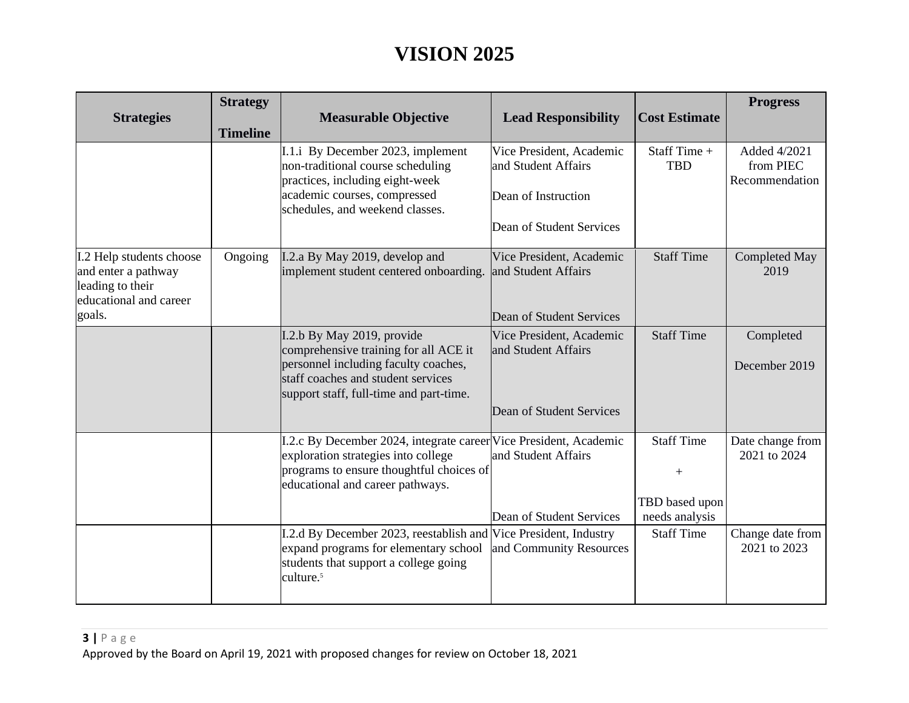| <b>Strategy</b><br><b>Timeline</b> | <b>Measurable Objective</b>                                                                                                                                                                  | <b>Lead Responsibility</b>                      | <b>Cost Estimate</b>                                                                                                                                                                                                                                        | <b>Progress</b>                             |
|------------------------------------|----------------------------------------------------------------------------------------------------------------------------------------------------------------------------------------------|-------------------------------------------------|-------------------------------------------------------------------------------------------------------------------------------------------------------------------------------------------------------------------------------------------------------------|---------------------------------------------|
|                                    | I.1.i By December 2023, implement<br>non-traditional course scheduling<br>practices, including eight-week                                                                                    | Vice President, Academic<br>and Student Affairs | Staff Time +<br><b>TBD</b>                                                                                                                                                                                                                                  | Added 4/2021<br>from PIEC<br>Recommendation |
|                                    | schedules, and weekend classes.                                                                                                                                                              | Dean of Student Services                        |                                                                                                                                                                                                                                                             |                                             |
| Ongoing                            | I.2.a By May 2019, develop and<br>implement student centered onboarding.                                                                                                                     | Vice President, Academic                        | <b>Staff Time</b>                                                                                                                                                                                                                                           | <b>Completed May</b><br>2019                |
|                                    |                                                                                                                                                                                              |                                                 |                                                                                                                                                                                                                                                             |                                             |
|                                    | I.2.b By May 2019, provide<br>comprehensive training for all ACE it<br>personnel including faculty coaches,<br>staff coaches and student services<br>support staff, full-time and part-time. | Vice President, Academic<br>and Student Affairs | <b>Staff Time</b>                                                                                                                                                                                                                                           | Completed<br>December 2019                  |
|                                    |                                                                                                                                                                                              | Dean of Student Services                        |                                                                                                                                                                                                                                                             |                                             |
|                                    | exploration strategies into college<br>educational and career pathways.                                                                                                                      | and Student Affairs                             | <b>Staff Time</b><br>$^{+}$                                                                                                                                                                                                                                 | Date change from<br>2021 to 2024            |
|                                    |                                                                                                                                                                                              |                                                 | TBD based upon                                                                                                                                                                                                                                              |                                             |
|                                    |                                                                                                                                                                                              | Dean of Student Services                        | needs analysis                                                                                                                                                                                                                                              |                                             |
|                                    | expand programs for elementary school<br>students that support a college going<br>culture. <sup>5</sup>                                                                                      | and Community Resources                         | <b>Staff Time</b>                                                                                                                                                                                                                                           | Change date from<br>2021 to 2023            |
|                                    |                                                                                                                                                                                              | academic courses, compressed                    | Dean of Instruction<br>and Student Affairs<br>Dean of Student Services<br>I.2.c By December 2024, integrate career Vice President, Academic<br>programs to ensure thoughtful choices of<br>I.2.d By December 2023, reestablish and Vice President, Industry |                                             |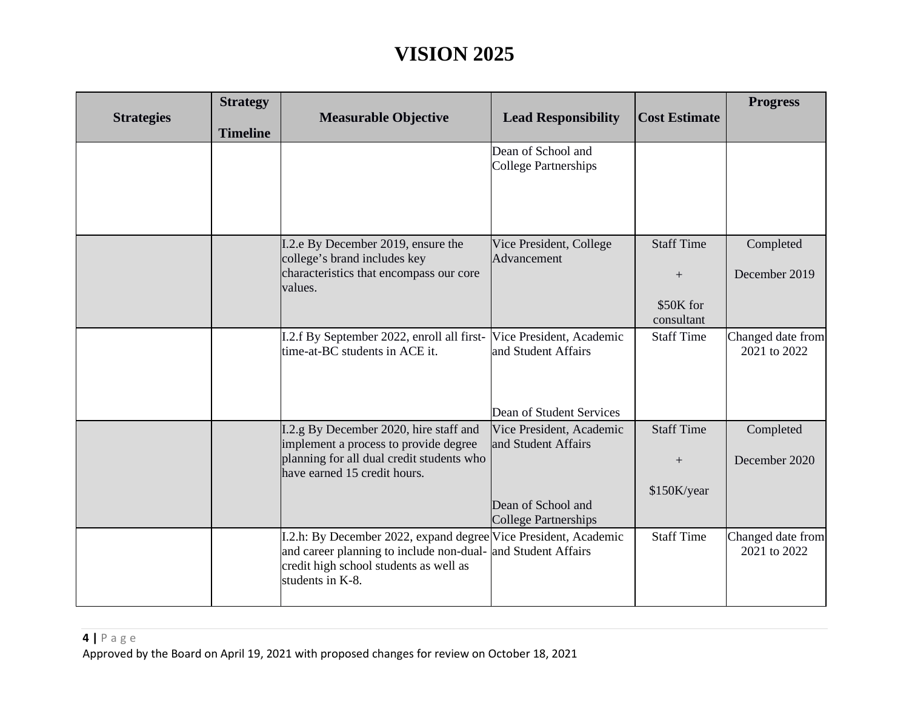| <b>Strategies</b> | <b>Strategy</b><br><b>Timeline</b> | <b>Measurable Objective</b>                                                                                                                                               | <b>Lead Responsibility</b>                        | <b>Cost Estimate</b>    | <b>Progress</b>                   |
|-------------------|------------------------------------|---------------------------------------------------------------------------------------------------------------------------------------------------------------------------|---------------------------------------------------|-------------------------|-----------------------------------|
|                   |                                    |                                                                                                                                                                           | Dean of School and<br><b>College Partnerships</b> |                         |                                   |
|                   |                                    |                                                                                                                                                                           |                                                   |                         |                                   |
|                   |                                    | I.2.e By December 2019, ensure the<br>college's brand includes key<br>characteristics that encompass our core                                                             | Vice President, College<br>Advancement            | <b>Staff Time</b>       | Completed                         |
|                   |                                    | values.                                                                                                                                                                   |                                                   | $^{+}$                  | December 2019                     |
|                   |                                    |                                                                                                                                                                           |                                                   | \$50K for<br>consultant |                                   |
|                   |                                    | I.2.f By September 2022, enroll all first-<br>time-at-BC students in ACE it.                                                                                              | Vice President, Academic<br>and Student Affairs   | <b>Staff Time</b>       | Changed date from<br>2021 to 2022 |
|                   |                                    |                                                                                                                                                                           | Dean of Student Services                          |                         |                                   |
|                   |                                    | I.2.g By December 2020, hire staff and<br>implement a process to provide degree                                                                                           | Vice President, Academic<br>and Student Affairs   | <b>Staff Time</b>       | Completed                         |
|                   |                                    | planning for all dual credit students who<br>have earned 15 credit hours.                                                                                                 |                                                   | $+$                     | December 2020                     |
|                   |                                    |                                                                                                                                                                           | Dean of School and<br><b>College Partnerships</b> | \$150K/year             |                                   |
|                   |                                    | I.2.h: By December 2022, expand degree Vice President, Academic<br>and career planning to include non-dual-<br>credit high school students as well as<br>students in K-8. | and Student Affairs                               | <b>Staff Time</b>       | Changed date from<br>2021 to 2022 |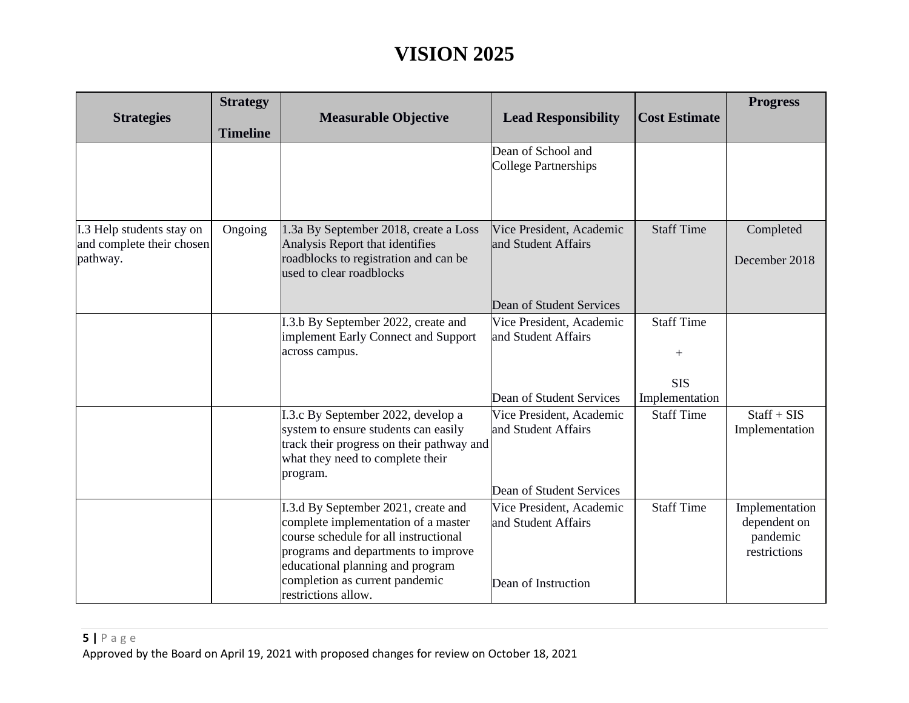| <b>Strategies</b>                                                  | <b>Strategy</b><br><b>Timeline</b> | <b>Measurable Objective</b>                                                                                                                                                                                                                             | <b>Lead Responsibility</b>                                                                              | <b>Cost Estimate</b>                      | <b>Progress</b>                                            |
|--------------------------------------------------------------------|------------------------------------|---------------------------------------------------------------------------------------------------------------------------------------------------------------------------------------------------------------------------------------------------------|---------------------------------------------------------------------------------------------------------|-------------------------------------------|------------------------------------------------------------|
|                                                                    |                                    |                                                                                                                                                                                                                                                         | Dean of School and<br><b>College Partnerships</b>                                                       |                                           |                                                            |
| I.3 Help students stay on<br>and complete their chosen<br>pathway. | Ongoing                            | 1.3a By September 2018, create a Loss<br>Analysis Report that identifies<br>roadblocks to registration and can be<br>used to clear roadblocks                                                                                                           | Vice President, Academic<br>and Student Affairs<br>Dean of Student Services                             | <b>Staff Time</b>                         | Completed<br>December 2018                                 |
|                                                                    |                                    | I.3.b By September 2022, create and<br>implement Early Connect and Support<br>across campus.                                                                                                                                                            | Vice President, Academic<br>and Student Affairs                                                         | <b>Staff Time</b><br>$^{+}$<br><b>SIS</b> |                                                            |
|                                                                    |                                    | I.3.c By September 2022, develop a<br>system to ensure students can easily<br>track their progress on their pathway and<br>what they need to complete their<br>program.                                                                                 | Dean of Student Services<br>Vice President, Academic<br>and Student Affairs<br>Dean of Student Services | Implementation<br><b>Staff Time</b>       | $Start + SIS$<br>Implementation                            |
|                                                                    |                                    | I.3.d By September 2021, create and<br>complete implementation of a master<br>course schedule for all instructional<br>programs and departments to improve<br>educational planning and program<br>completion as current pandemic<br>restrictions allow. | Vice President, Academic<br>and Student Affairs<br>Dean of Instruction                                  | <b>Staff Time</b>                         | Implementation<br>dependent on<br>pandemic<br>restrictions |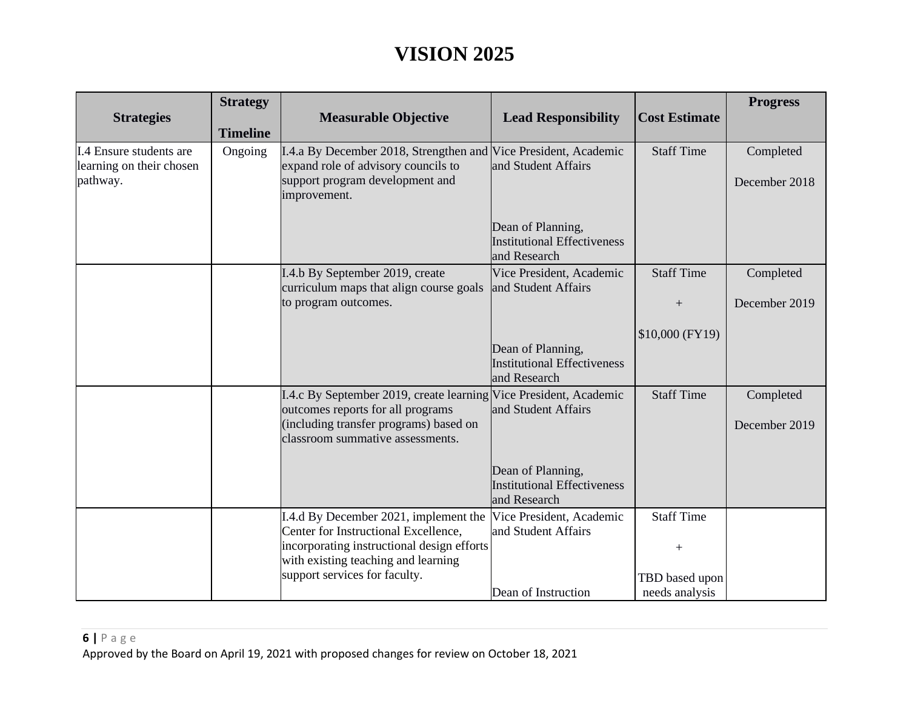| <b>Strategies</b>                                               | <b>Strategy</b><br><b>Timeline</b> | <b>Measurable Objective</b>                                                                                                                                                                         | <b>Lead Responsibility</b>                                              | <b>Cost Estimate</b>                          | <b>Progress</b>            |
|-----------------------------------------------------------------|------------------------------------|-----------------------------------------------------------------------------------------------------------------------------------------------------------------------------------------------------|-------------------------------------------------------------------------|-----------------------------------------------|----------------------------|
| I.4 Ensure students are<br>learning on their chosen<br>pathway. | Ongoing                            | I.4.a By December 2018, Strengthen and Vice President, Academic<br>expand role of advisory councils to<br>support program development and<br>improvement.                                           | and Student Affairs                                                     | <b>Staff Time</b>                             | Completed<br>December 2018 |
|                                                                 |                                    |                                                                                                                                                                                                     | Dean of Planning,<br><b>Institutional Effectiveness</b><br>and Research |                                               |                            |
|                                                                 |                                    | I.4.b By September 2019, create<br>curriculum maps that align course goals<br>to program outcomes.                                                                                                  | Vice President, Academic<br>and Student Affairs                         | <b>Staff Time</b><br>$^{+}$                   | Completed<br>December 2019 |
|                                                                 |                                    |                                                                                                                                                                                                     | Dean of Planning,<br><b>Institutional Effectiveness</b><br>and Research | $$10,000$ (FY19)                              |                            |
|                                                                 |                                    | I.4.c By September 2019, create learning Vice President, Academic<br>outcomes reports for all programs<br>(including transfer programs) based on<br>classroom summative assessments.                | and Student Affairs                                                     | <b>Staff Time</b>                             | Completed<br>December 2019 |
|                                                                 |                                    |                                                                                                                                                                                                     | Dean of Planning,<br><b>Institutional Effectiveness</b><br>and Research |                                               |                            |
|                                                                 |                                    | I.4.d By December 2021, implement the<br>Center for Instructional Excellence,<br>incorporating instructional design efforts<br>with existing teaching and learning<br>support services for faculty. | Vice President, Academic<br>and Student Affairs                         | <b>Staff Time</b><br>$^{+}$<br>TBD based upon |                            |
|                                                                 |                                    |                                                                                                                                                                                                     | Dean of Instruction                                                     | needs analysis                                |                            |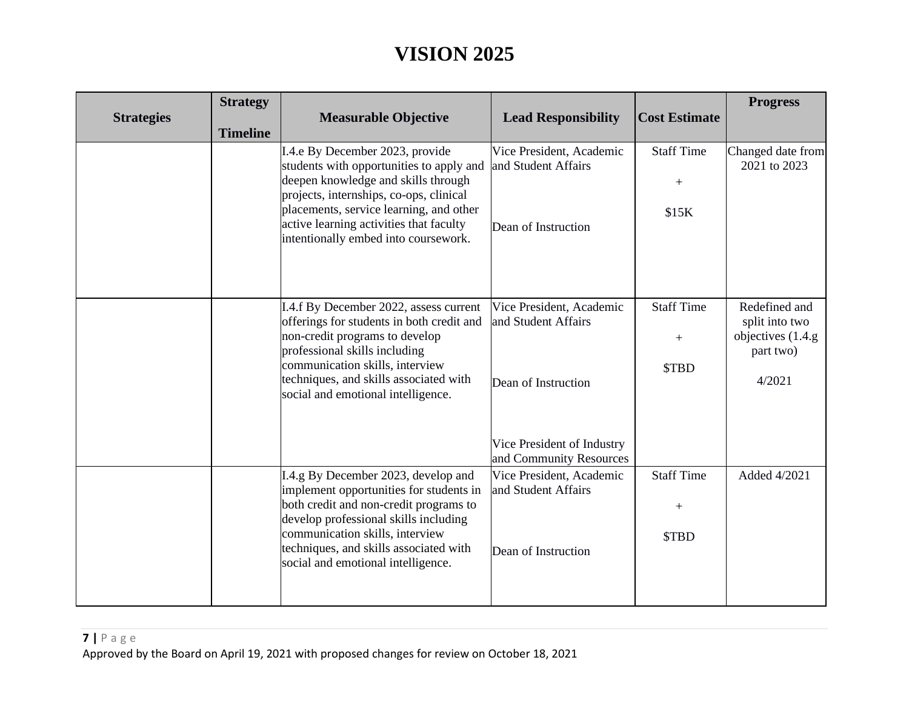| <b>Strategies</b> | <b>Strategy</b><br><b>Timeline</b> | <b>Measurable Objective</b>                                                                                                                                                                                                                                                                 | <b>Lead Responsibility</b>                                                                           | <b>Cost Estimate</b>                           | <b>Progress</b>                                                              |
|-------------------|------------------------------------|---------------------------------------------------------------------------------------------------------------------------------------------------------------------------------------------------------------------------------------------------------------------------------------------|------------------------------------------------------------------------------------------------------|------------------------------------------------|------------------------------------------------------------------------------|
|                   |                                    | I.4.e By December 2023, provide<br>students with opportunities to apply and<br>deepen knowledge and skills through<br>projects, internships, co-ops, clinical<br>placements, service learning, and other<br>active learning activities that faculty<br>intentionally embed into coursework. | Vice President, Academic<br>and Student Affairs<br>Dean of Instruction                               | <b>Staff Time</b><br>$^{+}$<br>\$15K           | Changed date from<br>2021 to 2023                                            |
|                   |                                    | I.4.f By December 2022, assess current<br>offerings for students in both credit and<br>non-credit programs to develop<br>professional skills including<br>communication skills, interview<br>techniques, and skills associated with<br>social and emotional intelligence.                   | Vice President, Academic<br>and Student Affairs<br>Dean of Instruction<br>Vice President of Industry | <b>Staff Time</b><br>$\boldsymbol{+}$<br>\$TBD | Redefined and<br>split into two<br>objectives (1.4.g)<br>part two)<br>4/2021 |
|                   |                                    | I.4.g By December 2023, develop and<br>implement opportunities for students in<br>both credit and non-credit programs to<br>develop professional skills including<br>communication skills, interview<br>techniques, and skills associated with<br>social and emotional intelligence.        | and Community Resources<br>Vice President, Academic<br>and Student Affairs<br>Dean of Instruction    | <b>Staff Time</b><br>$^+$<br>\$TBD             | Added 4/2021                                                                 |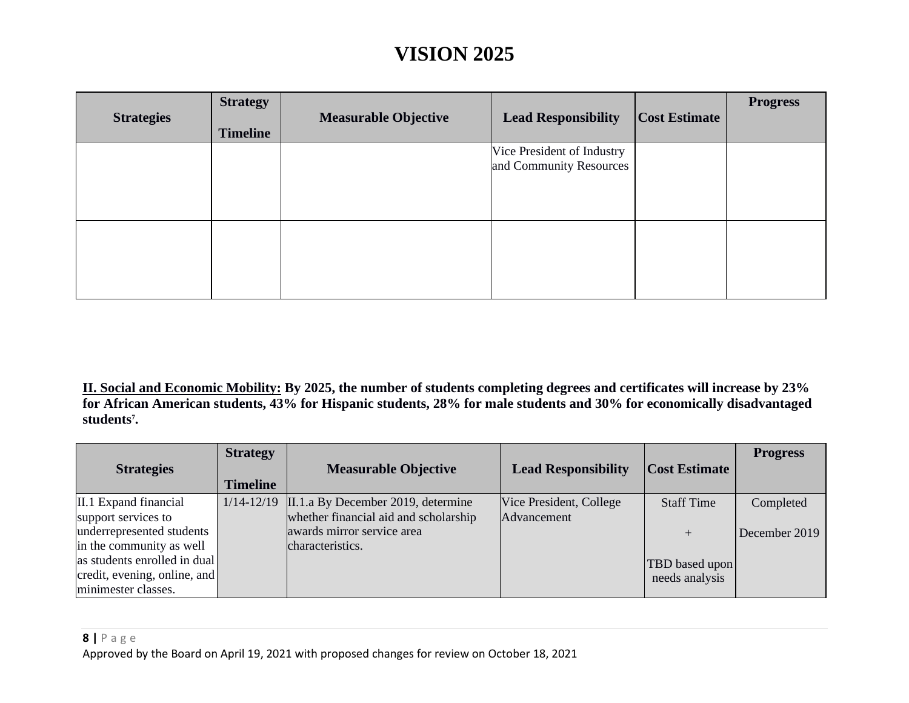| <b>Strategies</b> | <b>Strategy</b><br><b>Timeline</b> | <b>Measurable Objective</b> | <b>Lead Responsibility</b>                            | <b>Cost Estimate</b> | <b>Progress</b> |
|-------------------|------------------------------------|-----------------------------|-------------------------------------------------------|----------------------|-----------------|
|                   |                                    |                             | Vice President of Industry<br>and Community Resources |                      |                 |
|                   |                                    |                             |                                                       |                      |                 |

**II. Social and Economic Mobility: By 2025, the number of students completing degrees and certificates will increase by 23% for African American students, 43% for Hispanic students, 28% for male students and 30% for economically disadvantaged students7 .**

|                                                          | <b>Strategy</b> |                                                                             |                                        |                      | <b>Progress</b> |
|----------------------------------------------------------|-----------------|-----------------------------------------------------------------------------|----------------------------------------|----------------------|-----------------|
| <b>Strategies</b>                                        | <b>Timeline</b> | <b>Measurable Objective</b>                                                 | <b>Lead Responsibility</b>             | <b>Cost Estimate</b> |                 |
| II.1 Expand financial<br>support services to             | $1/14 - 12/19$  | II.1.a By December 2019, determine<br>whether financial aid and scholarship | Vice President, College<br>Advancement | <b>Staff Time</b>    | Completed       |
| underrepresented students                                |                 | awards mirror service area                                                  |                                        |                      | December 2019   |
| in the community as well<br>as students enrolled in dual |                 | characteristics.                                                            |                                        | TBD based upon       |                 |
| credit, evening, online, and<br>minimester classes.      |                 |                                                                             |                                        | needs analysis       |                 |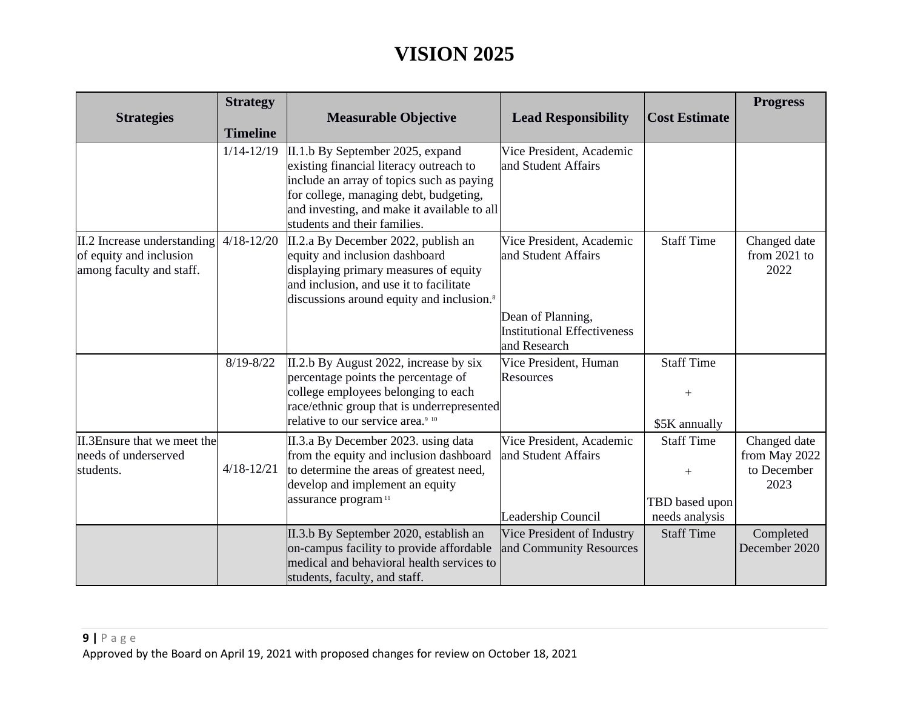| <b>Strategies</b>                                                                  | <b>Strategy</b><br><b>Timeline</b> | <b>Measurable Objective</b>                                                                                                                                                                                                                       | <b>Lead Responsibility</b>                                                                                                 | <b>Cost Estimate</b>                                         | <b>Progress</b>                                      |
|------------------------------------------------------------------------------------|------------------------------------|---------------------------------------------------------------------------------------------------------------------------------------------------------------------------------------------------------------------------------------------------|----------------------------------------------------------------------------------------------------------------------------|--------------------------------------------------------------|------------------------------------------------------|
|                                                                                    | $1/14 - 12/19$                     | II.1.b By September 2025, expand<br>existing financial literacy outreach to<br>include an array of topics such as paying<br>for college, managing debt, budgeting,<br>and investing, and make it available to all<br>students and their families. | Vice President, Academic<br>and Student Affairs                                                                            |                                                              |                                                      |
| II.2 Increase understanding<br>of equity and inclusion<br>among faculty and staff. | $4/18 - 12/20$                     | II.2.a By December 2022, publish an<br>equity and inclusion dashboard<br>displaying primary measures of equity<br>and inclusion, and use it to facilitate<br>discussions around equity and inclusion. <sup>8</sup>                                | Vice President, Academic<br>and Student Affairs<br>Dean of Planning,<br><b>Institutional Effectiveness</b><br>and Research | <b>Staff Time</b>                                            | Changed date<br>from $2021$ to<br>2022               |
|                                                                                    | $8/19 - 8/22$                      | II.2.b By August 2022, increase by six<br>percentage points the percentage of<br>college employees belonging to each<br>race/ethnic group that is underrepresented<br>relative to our service area. <sup>9 10</sup>                               | Vice President, Human<br>Resources                                                                                         | <b>Staff Time</b><br>$+$<br>\$5K annually                    |                                                      |
| II.3Ensure that we meet the<br>needs of underserved<br>students.                   | $4/18 - 12/21$                     | II.3.a By December 2023. using data<br>from the equity and inclusion dashboard<br>to determine the areas of greatest need,<br>develop and implement an equity<br>assurance program <sup>11</sup>                                                  | Vice President, Academic<br>and Student Affairs<br>Leadership Council                                                      | <b>Staff Time</b><br>$+$<br>TBD based upon<br>needs analysis | Changed date<br>from May 2022<br>to December<br>2023 |
|                                                                                    |                                    | II.3.b By September 2020, establish an<br>on-campus facility to provide affordable<br>medical and behavioral health services to<br>students, faculty, and staff.                                                                                  | Vice President of Industry<br>and Community Resources                                                                      | <b>Staff Time</b>                                            | Completed<br>December 2020                           |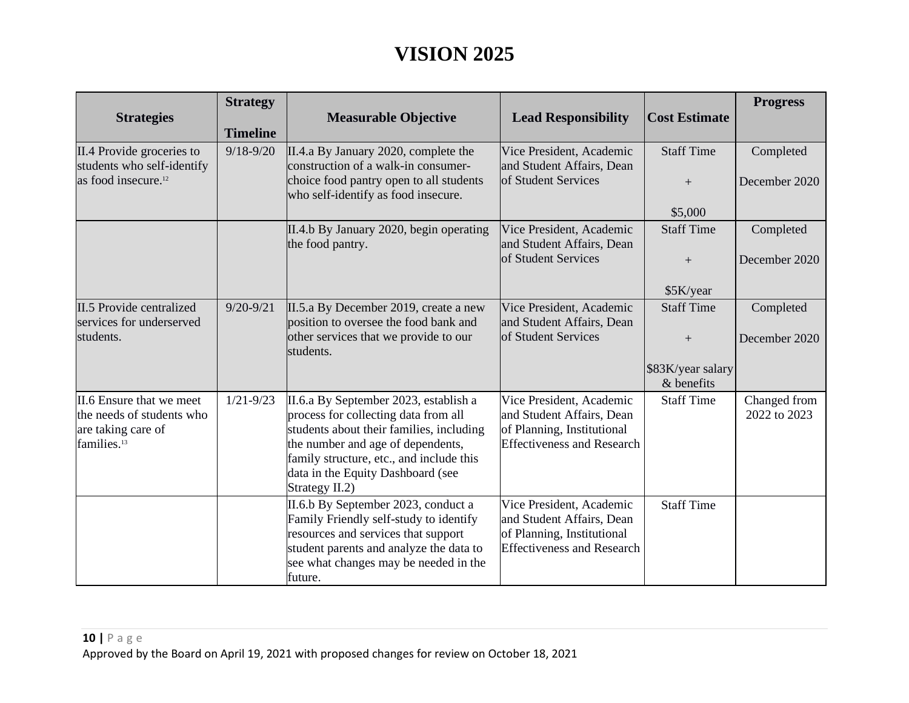| <b>Strategies</b>                                                                                      | <b>Strategy</b><br><b>Timeline</b> | <b>Measurable Objective</b>                                                                                                                                                                                                                                       | <b>Lead Responsibility</b>                                                                                               | <b>Cost Estimate</b>                                          | <b>Progress</b>              |
|--------------------------------------------------------------------------------------------------------|------------------------------------|-------------------------------------------------------------------------------------------------------------------------------------------------------------------------------------------------------------------------------------------------------------------|--------------------------------------------------------------------------------------------------------------------------|---------------------------------------------------------------|------------------------------|
| II.4 Provide groceries to<br>students who self-identify<br>as food insecure. <sup>12</sup>             | $9/18 - 9/20$                      | II.4.a By January 2020, complete the<br>construction of a walk-in consumer-<br>choice food pantry open to all students<br>who self-identify as food insecure.                                                                                                     | Vice President, Academic<br>and Student Affairs, Dean<br>of Student Services                                             | <b>Staff Time</b><br>$+$<br>\$5,000                           | Completed<br>December 2020   |
|                                                                                                        |                                    | II.4.b By January 2020, begin operating<br>the food pantry.                                                                                                                                                                                                       | Vice President, Academic<br>and Student Affairs, Dean<br>of Student Services                                             | <b>Staff Time</b><br>$+$<br>\$5K/year                         | Completed<br>December 2020   |
| II.5 Provide centralized<br>services for underserved<br>students.                                      | $9/20 - 9/21$                      | II.5.a By December 2019, create a new<br>position to oversee the food bank and<br>other services that we provide to our<br>students.                                                                                                                              | Vice President, Academic<br>and Student Affairs, Dean<br>of Student Services                                             | <b>Staff Time</b><br>$+$<br>\$83K/year salary<br>$&$ benefits | Completed<br>December 2020   |
| II.6 Ensure that we meet<br>the needs of students who<br>are taking care of<br>families. <sup>13</sup> | $1/21 - 9/23$                      | II.6.a By September 2023, establish a<br>process for collecting data from all<br>students about their families, including<br>the number and age of dependents,<br>family structure, etc., and include this<br>data in the Equity Dashboard (see<br>Strategy II.2) | Vice President, Academic<br>and Student Affairs, Dean<br>of Planning, Institutional<br><b>Effectiveness and Research</b> | <b>Staff Time</b>                                             | Changed from<br>2022 to 2023 |
|                                                                                                        |                                    | II.6.b By September 2023, conduct a<br>Family Friendly self-study to identify<br>resources and services that support<br>student parents and analyze the data to<br>see what changes may be needed in the<br>future.                                               | Vice President, Academic<br>and Student Affairs, Dean<br>of Planning, Institutional<br><b>Effectiveness and Research</b> | <b>Staff Time</b>                                             |                              |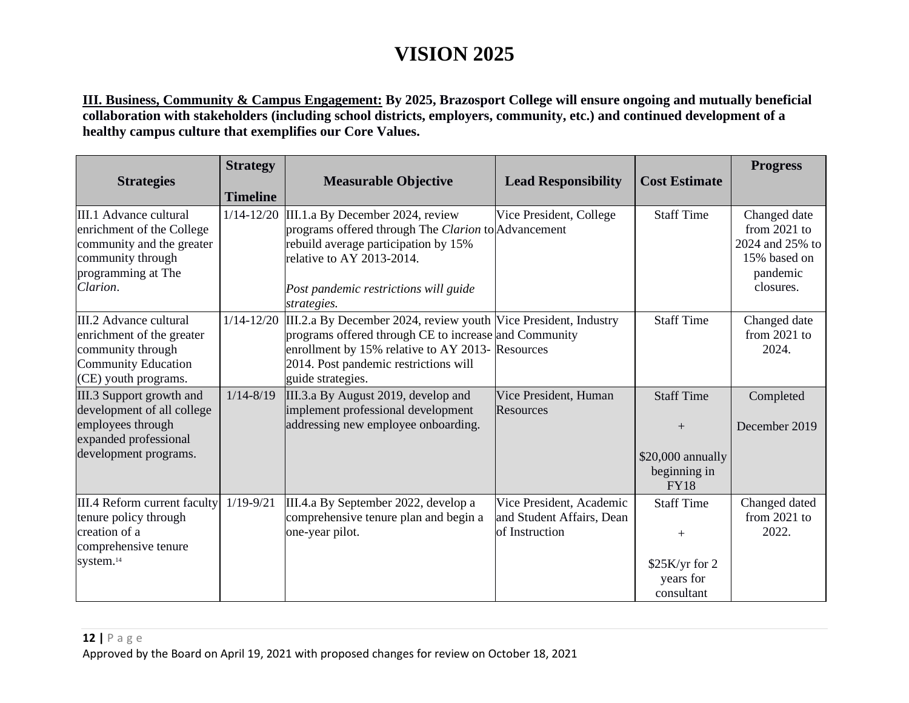**III. Business, Community & Campus Engagement: By 2025, Brazosport College will ensure ongoing and mutually beneficial collaboration with stakeholders (including school districts, employers, community, etc.) and continued development of a healthy campus culture that exemplifies our Core Values.**

| <b>Strategies</b>                                                                                                                       | <b>Strategy</b> | <b>Measurable Objective</b>                                                                                                                                                                                                                | <b>Lead Responsibility</b>                                              | <b>Cost Estimate</b>                                                         | <b>Progress</b>                                                                            |
|-----------------------------------------------------------------------------------------------------------------------------------------|-----------------|--------------------------------------------------------------------------------------------------------------------------------------------------------------------------------------------------------------------------------------------|-------------------------------------------------------------------------|------------------------------------------------------------------------------|--------------------------------------------------------------------------------------------|
|                                                                                                                                         | <b>Timeline</b> |                                                                                                                                                                                                                                            |                                                                         |                                                                              |                                                                                            |
| III.1 Advance cultural<br>enrichment of the College<br>community and the greater<br>community through<br>programming at The<br>Clarion. | $1/14 - 12/20$  | III.1.a By December 2024, review<br>programs offered through The Clarion to Advancement<br>rebuild average participation by 15%<br>relative to AY 2013-2014.<br>Post pandemic restrictions will guide<br>strategies.                       | Vice President, College                                                 | <b>Staff Time</b>                                                            | Changed date<br>from $2021$ to<br>2024 and 25% to<br>15% based on<br>pandemic<br>closures. |
| III.2 Advance cultural<br>enrichment of the greater<br>community through<br>Community Education<br>(CE) youth programs.                 | $1/14 - 12/20$  | III.2.a By December 2024, review youth Vice President, Industry<br>programs offered through CE to increase and Community<br>enrollment by 15% relative to AY 2013- Resources<br>2014. Post pandemic restrictions will<br>guide strategies. |                                                                         | <b>Staff Time</b>                                                            | Changed date<br>from $2021$ to<br>2024.                                                    |
| III.3 Support growth and<br>development of all college<br>employees through<br>expanded professional<br>development programs.           | $1/14 - 8/19$   | III.3.a By August 2019, develop and<br>implement professional development<br>addressing new employee onboarding.                                                                                                                           | Vice President, Human<br>Resources                                      | <b>Staff Time</b><br>$+$<br>\$20,000 annually<br>beginning in<br><b>FY18</b> | Completed<br>December 2019                                                                 |
| III.4 Reform current faculty<br>tenure policy through<br>creation of a<br>comprehensive tenure<br>system. <sup>14</sup>                 | $1/19 - 9/21$   | III.4.a By September 2022, develop a<br>comprehensive tenure plan and begin a<br>one-year pilot.                                                                                                                                           | Vice President, Academic<br>and Student Affairs, Dean<br>of Instruction | <b>Staff Time</b><br>$^{+}$<br>\$25K/yr for 2<br>years for<br>consultant     | Changed dated<br>from $2021$ to<br>2022.                                                   |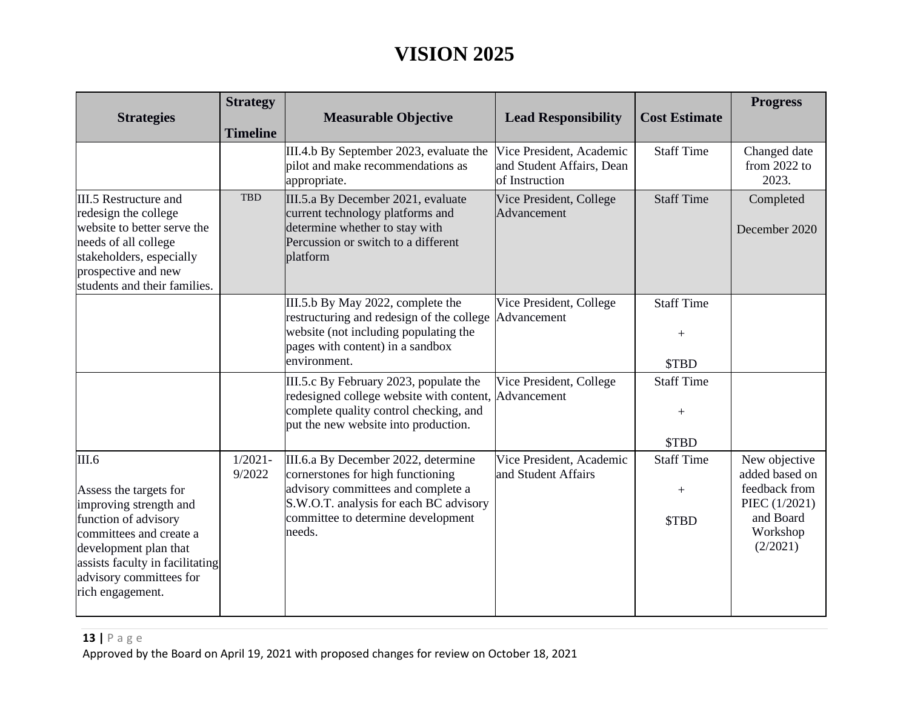| <b>Strategies</b>                                                                                                                                                                                                       | <b>Strategy</b><br><b>Timeline</b> | <b>Measurable Objective</b>                                                                                                                                                                              | <b>Lead Responsibility</b>                                              | <b>Cost Estimate</b>                                            | <b>Progress</b>                                                                                        |
|-------------------------------------------------------------------------------------------------------------------------------------------------------------------------------------------------------------------------|------------------------------------|----------------------------------------------------------------------------------------------------------------------------------------------------------------------------------------------------------|-------------------------------------------------------------------------|-----------------------------------------------------------------|--------------------------------------------------------------------------------------------------------|
|                                                                                                                                                                                                                         |                                    | III.4.b By September 2023, evaluate the<br>pilot and make recommendations as<br>appropriate.                                                                                                             | Vice President, Academic<br>and Student Affairs, Dean<br>of Instruction | <b>Staff Time</b>                                               | Changed date<br>from $2022$ to<br>2023.                                                                |
| III.5 Restructure and<br>redesign the college<br>website to better serve the<br>needs of all college<br>stakeholders, especially<br>prospective and new<br>students and their families.                                 | <b>TBD</b>                         | III.5.a By December 2021, evaluate<br>current technology platforms and<br>determine whether to stay with<br>Percussion or switch to a different<br>platform                                              | Vice President, College<br>Advancement                                  | <b>Staff Time</b>                                               | Completed<br>December 2020                                                                             |
|                                                                                                                                                                                                                         |                                    | III.5.b By May 2022, complete the<br>restructuring and redesign of the college Advancement<br>website (not including populating the<br>pages with content) in a sandbox<br>environment.                  | Vice President, College                                                 | <b>Staff Time</b><br>$+$<br>\$TBD                               |                                                                                                        |
|                                                                                                                                                                                                                         |                                    | III.5.c By February 2023, populate the<br>redesigned college website with content, Advancement<br>complete quality control checking, and<br>put the new website into production.                         | Vice President, College                                                 | <b>Staff Time</b><br>$\hspace{1.0cm} + \hspace{1.0cm}$<br>\$TBD |                                                                                                        |
| III.6<br>Assess the targets for<br>improving strength and<br>function of advisory<br>committees and create a<br>development plan that<br>assists faculty in facilitating<br>advisory committees for<br>rich engagement. | $1/2021 -$<br>9/2022               | III.6.a By December 2022, determine<br>cornerstones for high functioning<br>advisory committees and complete a<br>S.W.O.T. analysis for each BC advisory<br>committee to determine development<br>needs. | Vice President, Academic<br>and Student Affairs                         | <b>Staff Time</b><br>$\boldsymbol{+}$<br>\$TBD                  | New objective<br>added based on<br>feedback from<br>PIEC (1/2021)<br>and Board<br>Workshop<br>(2/2021) |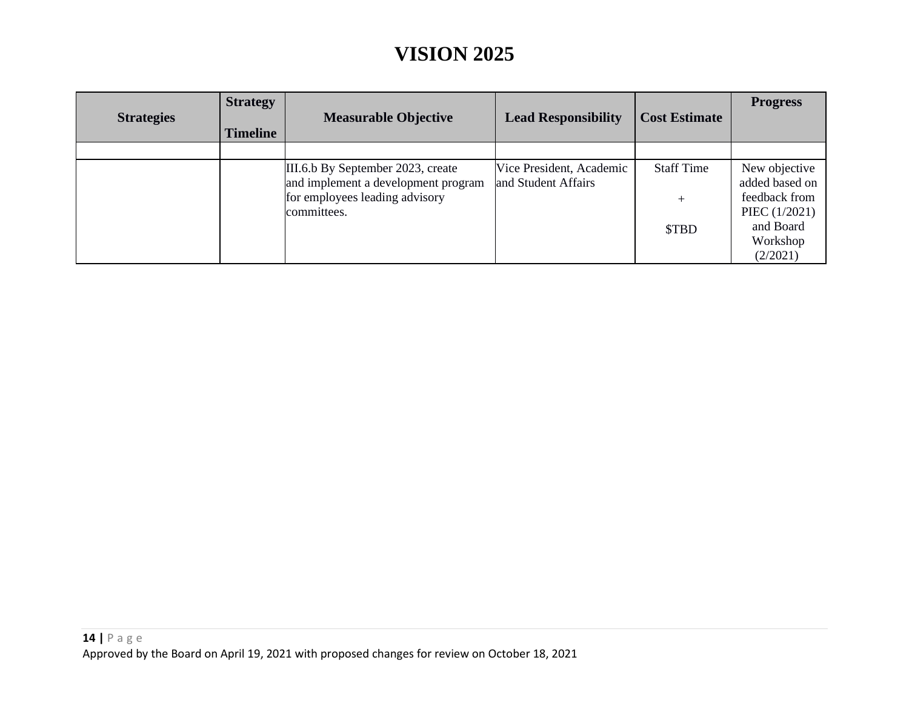| <b>Strategies</b> | <b>Strategy</b><br><b>Timeline</b> | <b>Measurable Objective</b>                                                                                               | <b>Lead Responsibility</b>                      | <b>Cost Estimate</b>                 | <b>Progress</b>                                                                            |
|-------------------|------------------------------------|---------------------------------------------------------------------------------------------------------------------------|-------------------------------------------------|--------------------------------------|--------------------------------------------------------------------------------------------|
|                   |                                    |                                                                                                                           |                                                 |                                      |                                                                                            |
|                   |                                    | III.6.b By September 2023, create<br>and implement a development program<br>for employees leading advisory<br>committees. | Vice President, Academic<br>and Student Affairs | <b>Staff Time</b><br>$^{+}$<br>\$TBD | New objective<br>added based on<br>feedback from<br>PIEC (1/2021)<br>and Board<br>Workshop |
|                   |                                    |                                                                                                                           |                                                 |                                      | (2/2021)                                                                                   |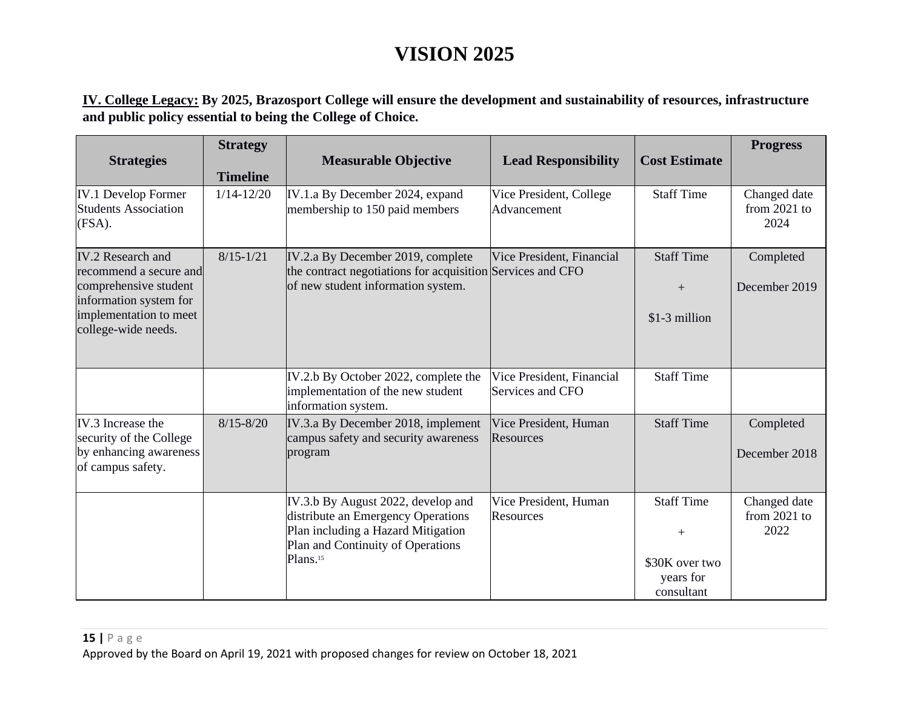**IV. College Legacy: By 2025, Brazosport College will ensure the development and sustainability of resources, infrastructure and public policy essential to being the College of Choice.**

| <b>Strategies</b>                                                                                                                                      | <b>Strategy</b><br><b>Timeline</b> | <b>Measurable Objective</b>                                                                                                                                                 | <b>Lead Responsibility</b>                    | <b>Cost Estimate</b>                                                                 | <b>Progress</b>                        |
|--------------------------------------------------------------------------------------------------------------------------------------------------------|------------------------------------|-----------------------------------------------------------------------------------------------------------------------------------------------------------------------------|-----------------------------------------------|--------------------------------------------------------------------------------------|----------------------------------------|
| <b>IV.1 Develop Former</b><br>Students Association<br>(FSA).                                                                                           | $1/14 - 12/20$                     | IV.1.a By December 2024, expand<br>membership to 150 paid members                                                                                                           | Vice President, College<br>Advancement        | <b>Staff Time</b>                                                                    | Changed date<br>from $2021$ to<br>2024 |
| <b>IV.2</b> Research and<br>recommend a secure and<br>comprehensive student<br>information system for<br>implementation to meet<br>college-wide needs. | $8/15 - 1/21$                      | IV.2.a By December 2019, complete<br>the contract negotiations for acquisition Services and CFO<br>of new student information system.                                       | Vice President, Financial                     | <b>Staff Time</b><br>$^{+}$<br>\$1-3 million                                         | Completed<br>December 2019             |
|                                                                                                                                                        |                                    | IV.2.b By October 2022, complete the<br>implementation of the new student<br>information system.                                                                            | Vice President, Financial<br>Services and CFO | <b>Staff Time</b>                                                                    |                                        |
| IV.3 Increase the<br>security of the College<br>by enhancing awareness<br>of campus safety.                                                            | $8/15 - 8/20$                      | IV.3.a By December 2018, implement<br>campus safety and security awareness<br>program                                                                                       | Vice President, Human<br>Resources            | <b>Staff Time</b>                                                                    | Completed<br>December 2018             |
|                                                                                                                                                        |                                    | IV.3.b By August 2022, develop and<br>distribute an Emergency Operations<br>Plan including a Hazard Mitigation<br>Plan and Continuity of Operations<br>Plans. <sup>15</sup> | Vice President, Human<br>Resources            | <b>Staff Time</b><br>$\hspace{0.1mm} +$<br>\$30K over two<br>years for<br>consultant | Changed date<br>from $2021$ to<br>2022 |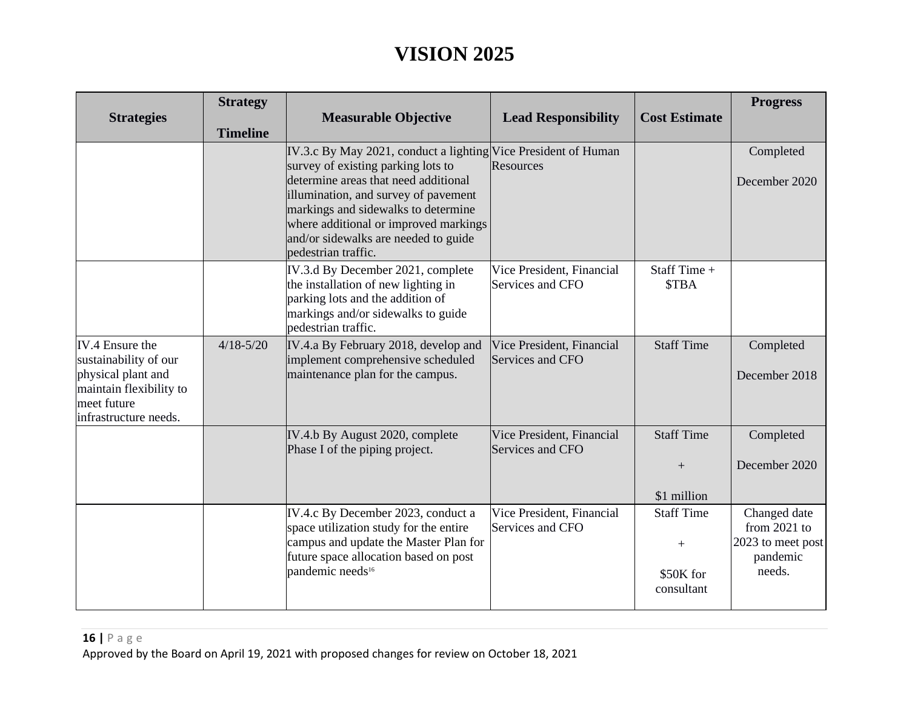| <b>Strategies</b>                                                                                                                 | <b>Strategy</b><br><b>Timeline</b> | <b>Measurable Objective</b>                                                                                                                                                                                                                                                                                                         | <b>Lead Responsibility</b>                    | <b>Cost Estimate</b>                                | <b>Progress</b>                                                           |
|-----------------------------------------------------------------------------------------------------------------------------------|------------------------------------|-------------------------------------------------------------------------------------------------------------------------------------------------------------------------------------------------------------------------------------------------------------------------------------------------------------------------------------|-----------------------------------------------|-----------------------------------------------------|---------------------------------------------------------------------------|
|                                                                                                                                   |                                    | IV.3.c By May 2021, conduct a lighting Vice President of Human<br>survey of existing parking lots to<br>determine areas that need additional<br>illumination, and survey of pavement<br>markings and sidewalks to determine<br>where additional or improved markings<br>and/or sidewalks are needed to guide<br>pedestrian traffic. | Resources                                     |                                                     | Completed<br>December 2020                                                |
|                                                                                                                                   |                                    | IV.3.d By December 2021, complete<br>the installation of new lighting in<br>parking lots and the addition of<br>markings and/or sidewalks to guide<br>pedestrian traffic.                                                                                                                                                           | Vice President, Financial<br>Services and CFO | Staff Time +<br><b>STBA</b>                         |                                                                           |
| IV.4 Ensure the<br>sustainability of our<br>physical plant and<br>maintain flexibility to<br>meet future<br>infrastructure needs. | $4/18 - 5/20$                      | IV.4.a By February 2018, develop and<br>implement comprehensive scheduled<br>maintenance plan for the campus.                                                                                                                                                                                                                       | Vice President, Financial<br>Services and CFO | <b>Staff Time</b>                                   | Completed<br>December 2018                                                |
|                                                                                                                                   |                                    | IV.4.b By August 2020, complete<br>Phase I of the piping project.                                                                                                                                                                                                                                                                   | Vice President, Financial<br>Services and CFO | <b>Staff Time</b><br>$+$<br>\$1 million             | Completed<br>December 2020                                                |
|                                                                                                                                   |                                    | IV.4.c By December 2023, conduct a<br>space utilization study for the entire<br>campus and update the Master Plan for<br>future space allocation based on post<br>pandemic needs <sup>16</sup>                                                                                                                                      | Vice President, Financial<br>Services and CFO | <b>Staff Time</b><br>$+$<br>\$50K for<br>consultant | Changed date<br>from $2021$ to<br>2023 to meet post<br>pandemic<br>needs. |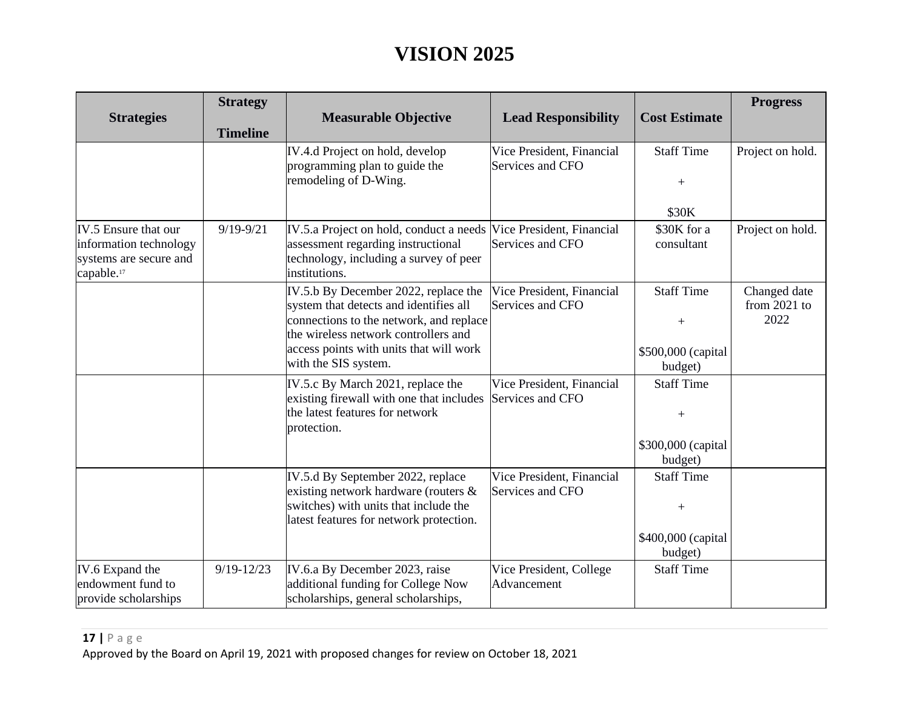| <b>Strategies</b>                                                                                  | <b>Strategy</b><br><b>Timeline</b> | <b>Measurable Objective</b>                                                                                                                                                                                                          | <b>Lead Responsibility</b>                    | <b>Cost Estimate</b>                                                                    | <b>Progress</b>                        |
|----------------------------------------------------------------------------------------------------|------------------------------------|--------------------------------------------------------------------------------------------------------------------------------------------------------------------------------------------------------------------------------------|-----------------------------------------------|-----------------------------------------------------------------------------------------|----------------------------------------|
|                                                                                                    |                                    | IV.4.d Project on hold, develop<br>programming plan to guide the<br>remodeling of D-Wing.                                                                                                                                            | Vice President, Financial<br>Services and CFO | <b>Staff Time</b><br>$+$                                                                | Project on hold.                       |
|                                                                                                    |                                    |                                                                                                                                                                                                                                      |                                               | \$30K                                                                                   |                                        |
| IV.5 Ensure that our<br>information technology<br>systems are secure and<br>capable. <sup>17</sup> | $9/19 - 9/21$                      | IV.5.a Project on hold, conduct a needs Vice President, Financial<br>assessment regarding instructional<br>technology, including a survey of peer<br>institutions.                                                                   | Services and CFO                              | \$30K for a<br>consultant                                                               | Project on hold.                       |
|                                                                                                    |                                    | IV.5.b By December 2022, replace the<br>system that detects and identifies all<br>connections to the network, and replace<br>the wireless network controllers and<br>access points with units that will work<br>with the SIS system. | Vice President, Financial<br>Services and CFO | <b>Staff Time</b><br>$+$<br>\$500,000 (capital<br>budget)                               | Changed date<br>from $2021$ to<br>2022 |
|                                                                                                    |                                    | IV.5.c By March 2021, replace the<br>existing firewall with one that includes<br>the latest features for network<br>protection.                                                                                                      | Vice President, Financial<br>Services and CFO | <b>Staff Time</b><br>\$300,000 (capital<br>budget)                                      |                                        |
|                                                                                                    |                                    | IV.5.d By September 2022, replace<br>existing network hardware (routers &<br>switches) with units that include the<br>latest features for network protection.                                                                        | Vice President, Financial<br>Services and CFO | <b>Staff Time</b><br>$\hspace{1.0cm} + \hspace{1.0cm}$<br>\$400,000 (capital<br>budget) |                                        |
| IV.6 Expand the<br>endowment fund to<br>provide scholarships                                       | $9/19 - 12/23$                     | IV.6.a By December 2023, raise<br>additional funding for College Now<br>scholarships, general scholarships,                                                                                                                          | Vice President, College<br>Advancement        | <b>Staff Time</b>                                                                       |                                        |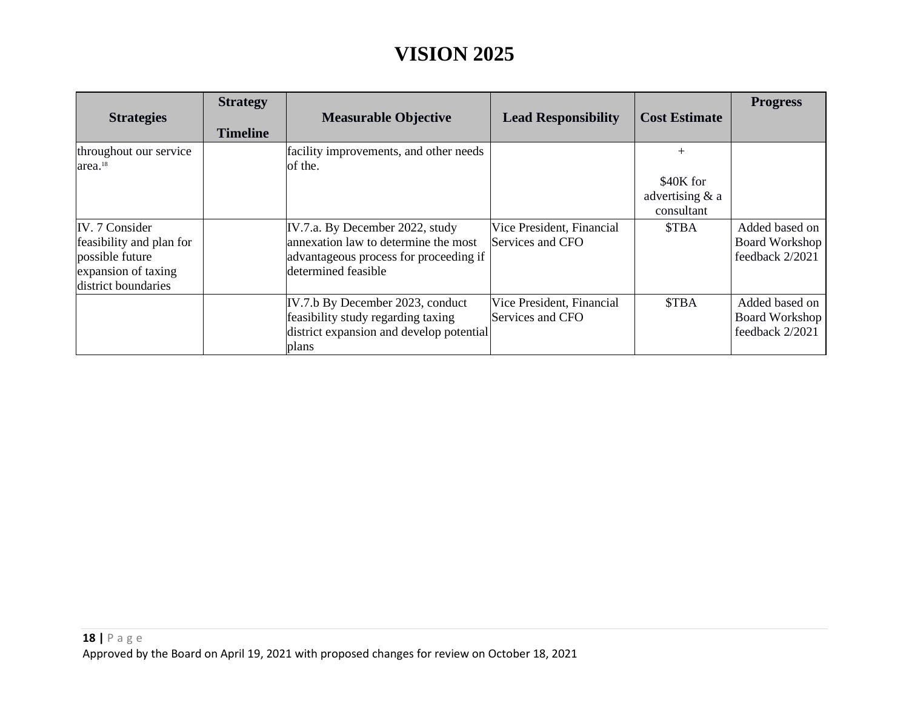| <b>Strategies</b>                                                                                           | <b>Strategy</b><br><b>Timeline</b> | <b>Measurable Objective</b>                                                                                                              | <b>Lead Responsibility</b>                    | <b>Cost Estimate</b>                                         | <b>Progress</b>                                            |
|-------------------------------------------------------------------------------------------------------------|------------------------------------|------------------------------------------------------------------------------------------------------------------------------------------|-----------------------------------------------|--------------------------------------------------------------|------------------------------------------------------------|
| throughout our service<br>area. <sup>18</sup>                                                               |                                    | facility improvements, and other needs<br>of the.                                                                                        |                                               | $\overline{+}$<br>\$40K for<br>advertising & a<br>consultant |                                                            |
| IV. 7 Consider<br>feasibility and plan for<br>possible future<br>expansion of taxing<br>district boundaries |                                    | IV.7.a. By December 2022, study<br>annexation law to determine the most<br>advantageous process for proceeding if<br>determined feasible | Vice President, Financial<br>Services and CFO | <b>STBA</b>                                                  | Added based on<br><b>Board Workshop</b><br>feedback 2/2021 |
|                                                                                                             |                                    | IV.7.b By December 2023, conduct<br>feasibility study regarding taxing<br>district expansion and develop potential<br>plans              | Vice President, Financial<br>Services and CFO | <b>STBA</b>                                                  | Added based on<br><b>Board Workshop</b><br>feedback 2/2021 |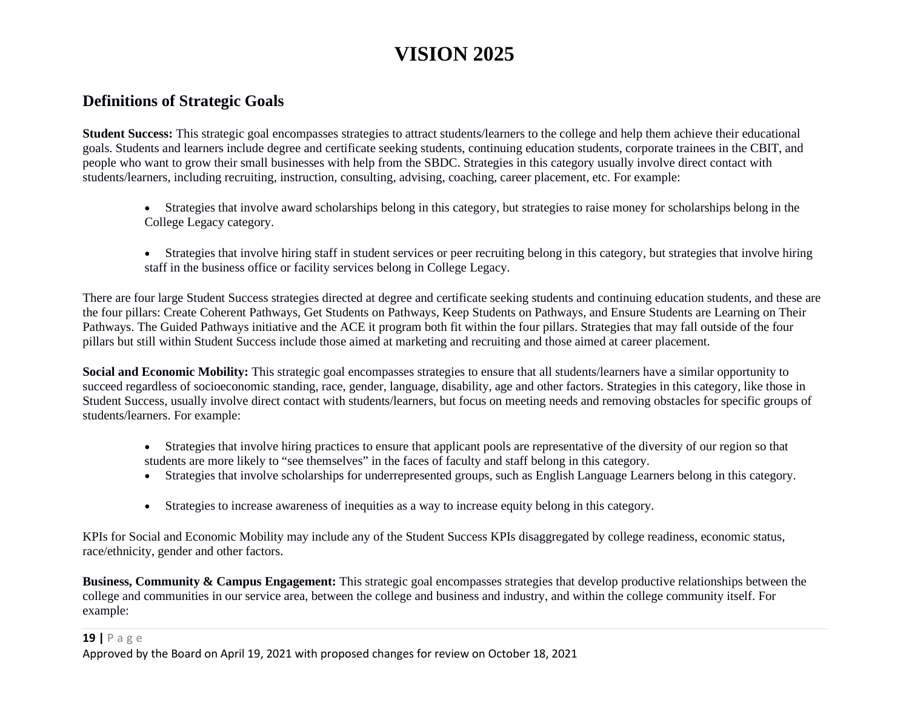#### **Definitions of Strategic Goals**

**Student Success:** This strategic goal encompasses strategies to attract students/learners to the college and help them achieve their educational goals. Students and learners include degree and certificate seeking students, continuing education students, corporate trainees in the CBIT, and people who want to grow their small businesses with help from the SBDC. Strategies in this category usually involve direct contact with students/learners, including recruiting, instruction, consulting, advising, coaching, career placement, etc. For example:

- Strategies that involve award scholarships belong in this category, but strategies to raise money for scholarships belong in the College Legacy category.
- Strategies that involve hiring staff in student services or peer recruiting belong in this category, but strategies that involve hiring staff in the business office or facility services belong in College Legacy.

There are four large Student Success strategies directed at degree and certificate seeking students and continuing education students, and these are the four pillars: Create Coherent Pathways, Get Students on Pathways, Keep Students on Pathways, and Ensure Students are Learning on Their Pathways. The Guided Pathways initiative and the ACE it program both fit within the four pillars. Strategies that may fall outside of the four pillars but still within Student Success include those aimed at marketing and recruiting and those aimed at career placement.

**Social and Economic Mobility:** This strategic goal encompasses strategies to ensure that all students/learners have a similar opportunity to succeed regardless of socioeconomic standing, race, gender, language, disability, age and other factors. Strategies in this category, like those in Student Success, usually involve direct contact with students/learners, but focus on meeting needs and removing obstacles for specific groups of students/learners. For example:

- Strategies that involve hiring practices to ensure that applicant pools are representative of the diversity of our region so that students are more likely to "see themselves" in the faces of faculty and staff belong in this category.
- Strategies that involve scholarships for underrepresented groups, such as English Language Learners belong in this category.
- Strategies to increase awareness of inequities as a way to increase equity belong in this category.

KPIs for Social and Economic Mobility may include any of the Student Success KPIs disaggregated by college readiness, economic status, race/ethnicity, gender and other factors.

**Business, Community & Campus Engagement:** This strategic goal encompasses strategies that develop productive relationships between the college and communities in our service area, between the college and business and industry, and within the college community itself. For example:

#### **19 |** Page Approved by the Board on April 19, 2021 with proposed changes for review on October 18, 2021